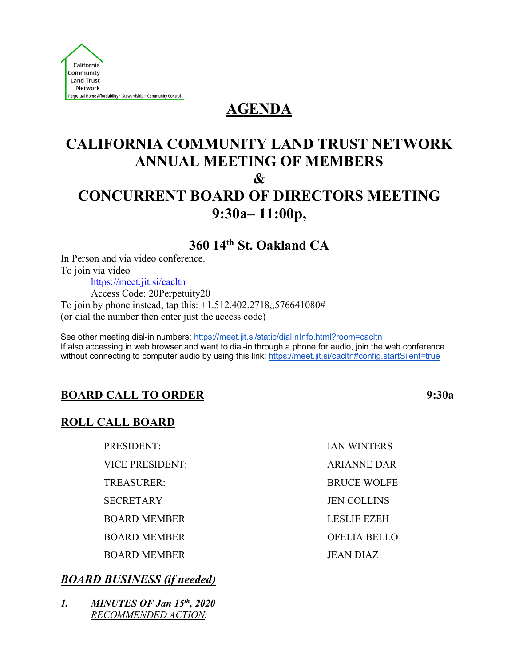

# **AGENDA**

# **CALIFORNIA COMMUNITY LAND TRUST NETWORK ANNUAL MEETING OF MEMBERS & CONCURRENT BOARD OF DIRECTORS MEETING 9:30a– 11:00p,**

**360 14th St. Oakland CA**

In Person and via video conference. To join via video https://meet.jit.si/cacltn Access Code: 20Perpetuity20 To join by phone instead, tap this: +1.512.402.2718,,576641080# (or dial the number then enter just the access code)

See other meeting dial-in numbers: https://meet.jit.si/static/dialInInfo.html?room=cacltn If also accessing in web browser and want to dial-in through a phone for audio, join the web conference without connecting to computer audio by using this link: https://meet.jit.si/cacltn#config.startSilent=true

## **BOARD CALL TO ORDER 9:30a**

## **ROLL CALL BOARD**

| PRESIDENT:             | <b>IAN WINTERS</b>  |
|------------------------|---------------------|
| <b>VICE PRESIDENT:</b> | <b>ARIANNE DAR</b>  |
| TREASURER:             | <b>BRUCE WOLFE</b>  |
| <b>SECRETARY</b>       | <b>JEN COLLINS</b>  |
| <b>BOARD MEMBER</b>    | <b>LESLIE EZEH</b>  |
| <b>BOARD MEMBER</b>    | <b>OFELIA BELLO</b> |
| <b>BOARD MEMBER</b>    | <b>JEAN DIAZ</b>    |

## *BOARD BUSINESS (if needed)*

*1. MINUTES OF Jan 15th, 2020 RECOMMENDED ACTION:*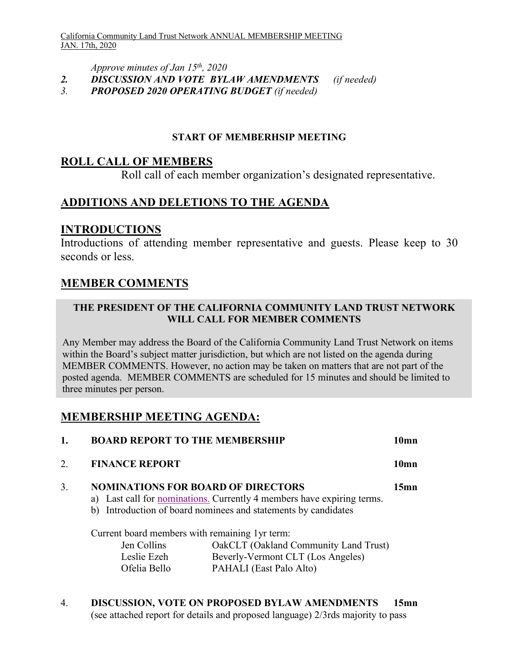*Approve minutes of Jan 15th, 2020*

- *2. DISCUSSION AND VOTE BYLAW AMENDMENTS (if needed)*
- *3. PROPOSED 2020 OPERATING BUDGET (if needed)*

#### **START OF MEMBERHSIP MEETING**

## **ROLL CALL OF MEMBERS**

Roll call of each member organization's designated representative.

## **ADDITIONS AND DELETIONS TO THE AGENDA**

## **INTRODUCTIONS**

Introductions of attending member representative and guests. Please keep to 30 seconds or less.

## **MEMBER COMMENTS**

#### **THE PRESIDENT OF THE CALIFORNIA COMMUNITY LAND TRUST NETWORK WILL CALL FOR MEMBER COMMENTS**

Any Member may address the Board of the California Community Land Trust Network on items within the Board's subject matter jurisdiction, but which are not listed on the agenda during MEMBER COMMENTS. However, no action may be taken on matters that are not part of the posted agenda. MEMBER COMMENTS are scheduled for 15 minutes and should be limited to three minutes per person.

## **MEMBERSHIP MEETING AGENDA:**

|    | <b>BOARD REPORT TO THE MEMBERSHIP</b>                                                       |                                                                                                                                                 | 10mn    |
|----|---------------------------------------------------------------------------------------------|-------------------------------------------------------------------------------------------------------------------------------------------------|---------|
| 2. | <b>FINANCE REPORT</b>                                                                       |                                                                                                                                                 | 10mn    |
| 3. | <b>NOMINATIONS FOR BOARD OF DIRECTORS</b><br>Current board members with remaining 1yr term: | a) Last call for <u>nominations.</u> Currently 4 members have expiring terms.<br>b) Introduction of board nominees and statements by candidates | $15$ mn |
|    | Jen Collins<br>Leslie Ezeh<br>Ofelia Bello                                                  | OakCLT (Oakland Community Land Trust)<br>Beverly-Vermont CLT (Los Angeles)<br>PAHALI (East Palo Alto)                                           |         |

4. **DISCUSSION, VOTE ON PROPOSED BYLAW AMENDMENTS 15mn** (see attached report for details and proposed language) 2/3rds majority to pass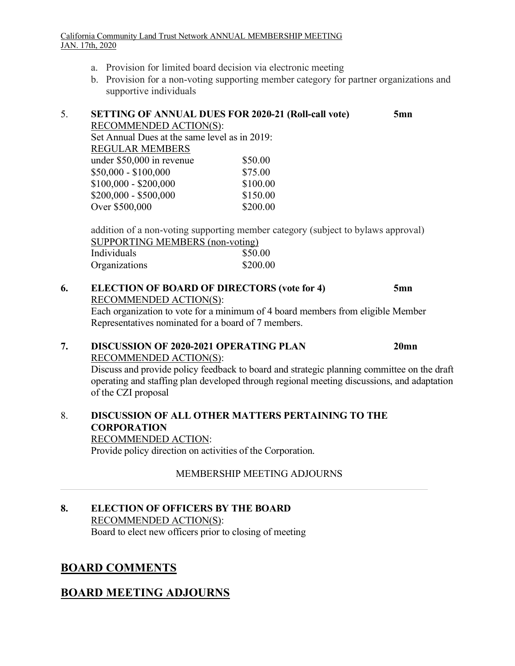#### California Community Land Trust Network ANNUAL MEMBERSHIP MEETING JAN. 17th, 2020

- a. Provision for limited board decision via electronic meeting
- b. Provision for a non-voting supporting member category for partner organizations and supportive individuals

## 5. **SETTING OF ANNUAL DUES FOR 2020-21 (Roll-call vote) 5mn**

RECOMMENDED ACTION(S):

Set Annual Dues at the same level as in 2019: REGULAR MEMBERS under \$50,000 in revenue \$50.00 \$50,000 - \$100,000 \$75.00  $$100,000 - $200,000$  \$100.00  $$200,000 - $500,000$   $$150,00$ Over \$500,000 \$200.00

addition of a non-voting supporting member category (subject to bylaws approval) SUPPORTING MEMBERS (non-voting) Individuals \$50.00 Organizations \$200.00

## **6. ELECTION OF BOARD OF DIRECTORS (vote for 4) 5mn** RECOMMENDED ACTION(S): Each organization to vote for a minimum of 4 board members from eligible Member Representatives nominated for a board of 7 members.

## **7. DISCUSSION OF 2020-2021 OPERATING PLAN 20mn**

RECOMMENDED ACTION(S):

Discuss and provide policy feedback to board and strategic planning committee on the draft operating and staffing plan developed through regional meeting discussions, and adaptation of the CZI proposal

## 8. **DISCUSSION OF ALL OTHER MATTERS PERTAINING TO THE CORPORATION** RECOMMENDED ACTION:

Provide policy direction on activities of the Corporation.

## MEMBERSHIP MEETING ADJOURNS

## **8. ELECTION OF OFFICERS BY THE BOARD** RECOMMENDED ACTION(S):

Board to elect new officers prior to closing of meeting

## **BOARD COMMENTS**

## **BOARD MEETING ADJOURNS**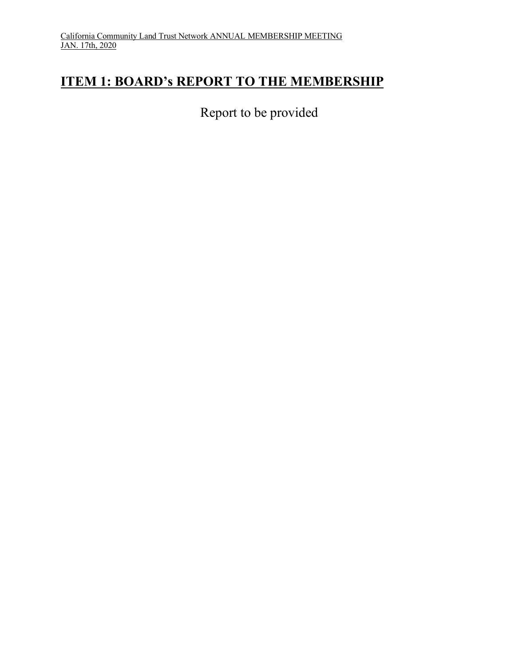# **ITEM 1: BOARD's REPORT TO THE MEMBERSHIP**

Report to be provided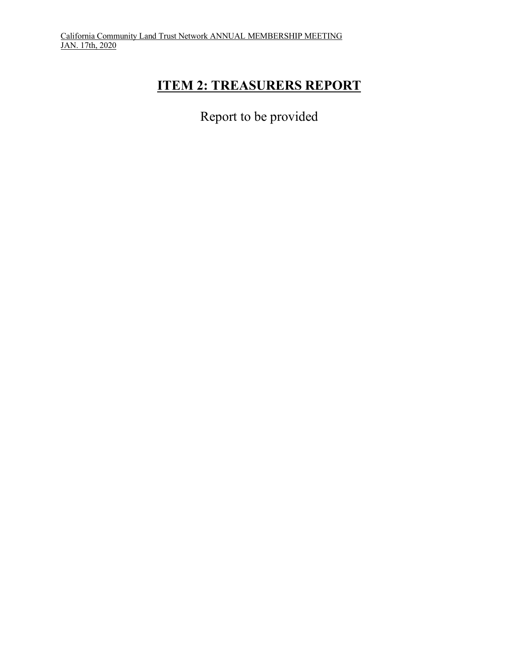# **ITEM 2: TREASURERS REPORT**

Report to be provided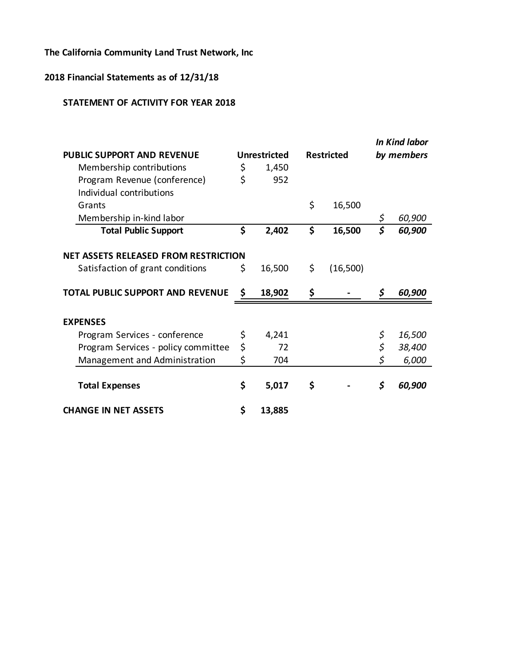## **The California Community Land Trust Network, Inc**

## **2018 Financial Statements as of 12/31/18**

#### **STATEMENT OF ACTIVITY FOR YEAR 2018**

|                                             |                     |                   | <b>In Kind labor</b> |
|---------------------------------------------|---------------------|-------------------|----------------------|
| <b>PUBLIC SUPPORT AND REVENUE</b>           | <b>Unrestricted</b> | <b>Restricted</b> | by members           |
| Membership contributions                    | \$<br>1,450         |                   |                      |
| Program Revenue (conference)                | \$<br>952           |                   |                      |
| Individual contributions                    |                     |                   |                      |
| Grants                                      |                     | \$<br>16,500      |                      |
| Membership in-kind labor                    |                     |                   | \$<br>60,900         |
| <b>Total Public Support</b>                 | \$<br>2,402         | \$<br>16,500      | \$<br>60,900         |
| <b>NET ASSETS RELEASED FROM RESTRICTION</b> |                     |                   |                      |
| Satisfaction of grant conditions            | \$<br>16,500        | \$<br>(16,500)    |                      |
| TOTAL PUBLIC SUPPORT AND REVENUE            | \$<br>18,902        | \$                | \$<br>60,900         |
| <b>EXPENSES</b>                             |                     |                   |                      |
| Program Services - conference               | \$<br>4,241         |                   | \$<br>16,500         |
| Program Services - policy committee         | \$<br>72            |                   | \$<br>38,400         |
| Management and Administration               | \$<br>704           |                   | \$<br>6,000          |
| <b>Total Expenses</b>                       | \$<br>5,017         | \$                | \$<br>60,900         |
| <b>CHANGE IN NET ASSETS</b>                 | \$<br>13,885        |                   |                      |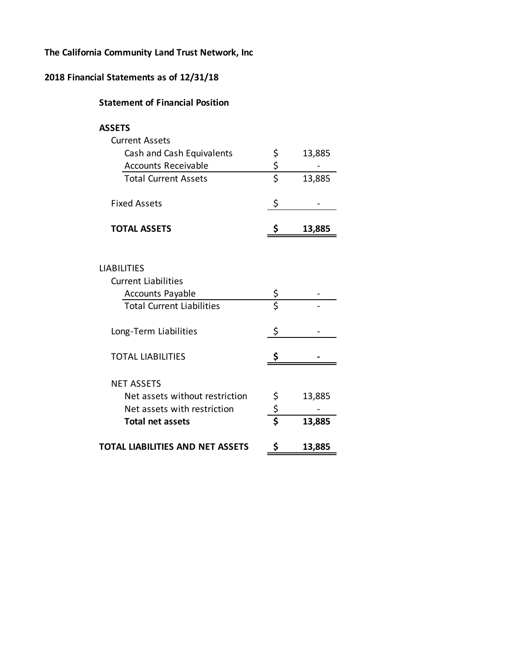#### **The California Community Land Trust Network, Inc**

#### **2018 Financial Statements as of 12/31/18**

NET ASSETS

#### **Statement of Financial Position**

| ×<br>×<br>۰, |  |
|--------------|--|
|--------------|--|

| <b>Current Assets</b>            |    |        |
|----------------------------------|----|--------|
| Cash and Cash Equivalents        | Ş  | 13,885 |
| <b>Accounts Receivable</b>       | \$ |        |
| <b>Total Current Assets</b>      | \$ | 13,885 |
| <b>Fixed Assets</b>              |    |        |
| <b>TOTAL ASSETS</b>              |    | 13,885 |
|                                  |    |        |
|                                  |    |        |
| <b>LIABILITIES</b>               |    |        |
| <b>Current Liabilities</b>       |    |        |
| <b>Accounts Payable</b>          | \$ |        |
| <b>Total Current Liabilities</b> | \$ |        |

TOTAL LIABILITIES 5 5 5 5 5 5 6 7 AM

Net assets with restriction  $\zeta$ 

Net assets without restriction  $\sin \theta$  13,885

**Total net assets \$ 13,885**

**TOTAL LIABILITIES AND NET ASSETS \$ 13,885**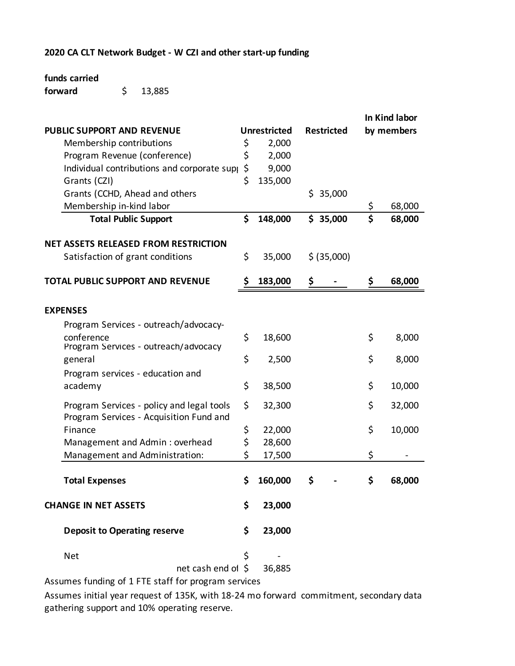#### **2020 CA CLT Network Budget - W CZI and other start-up funding**

#### **funds carried**

\$ 13,885 **forward**

|                                             |                     |                   | In Kind labor |            |  |
|---------------------------------------------|---------------------|-------------------|---------------|------------|--|
| <b>PUBLIC SUPPORT AND REVENUE</b>           | <b>Unrestricted</b> | <b>Restricted</b> |               | by members |  |
| Membership contributions                    | \$<br>2,000         |                   |               |            |  |
| Program Revenue (conference)                | \$<br>2,000         |                   |               |            |  |
| Individual contributions and corporate supp | \$<br>9,000         |                   |               |            |  |
| Grants (CZI)                                | \$<br>135,000       |                   |               |            |  |
| Grants (CCHD, Ahead and others              |                     | 35,000<br>\$.     |               |            |  |
| Membership in-kind labor                    |                     |                   | \$            | 68,000     |  |
| <b>Total Public Support</b>                 | \$<br>148,000       | \$35,000          | \$            | 68,000     |  |
| <b>NET ASSETS RELEASED FROM RESTRICTION</b> |                     |                   |               |            |  |
| Satisfaction of grant conditions            | \$<br>35,000        | \$ (35,000)       |               |            |  |
| <b>TOTAL PUBLIC SUPPORT AND REVENUE</b>     | \$<br>183,000       | \$                | \$            | 68,000     |  |
|                                             |                     |                   |               |            |  |
| <b>EXPENSES</b>                             |                     |                   |               |            |  |
| Program Services - outreach/advocacy-       |                     |                   |               |            |  |
| conference                                  | \$<br>18,600        |                   | \$            | 8,000      |  |
| Program Services - outreach/advocacy        |                     |                   |               |            |  |
| general                                     | \$<br>2,500         |                   | \$            | 8,000      |  |
| Program services - education and            |                     |                   |               |            |  |
| academy                                     | \$<br>38,500        |                   | \$            | 10,000     |  |
| Program Services - policy and legal tools   | \$<br>32,300        |                   | \$            | 32,000     |  |
| Program Services - Acquisition Fund and     |                     |                   |               |            |  |
| Finance                                     | \$<br>22,000        |                   | \$            | 10,000     |  |
| Management and Admin: overhead              | \$<br>28,600        |                   |               |            |  |
| Management and Administration:              | \$<br>17,500        |                   | \$            |            |  |
|                                             |                     |                   |               |            |  |
| <b>Total Expenses</b>                       | \$<br>160,000       | \$                | \$            | 68,000     |  |
| <b>CHANGE IN NET ASSETS</b>                 | \$<br>23,000        |                   |               |            |  |
| <b>Deposit to Operating reserve</b>         | \$<br>23,000        |                   |               |            |  |
| <b>Net</b>                                  | \$                  |                   |               |            |  |
| net cash end of \$                          | 36,885              |                   |               |            |  |
|                                             |                     |                   |               |            |  |

Assumes funding of 1 FTE staff for program services

Assumes initial year request of 135K, with 18-24 mo forward commitment, secondary data gathering support and 10% operating reserve.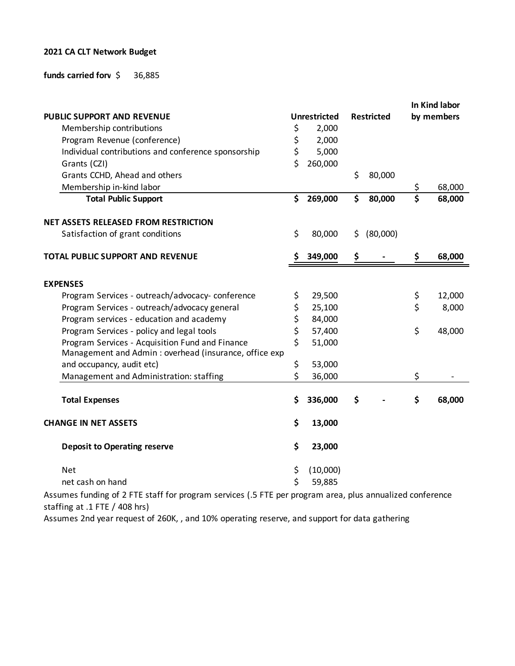#### **2021 CA CLT Network Budget**

#### **funds carried forv**  $\sharp$  36,885

|                                                        |                     |     |                   |                         | In Kind labor |
|--------------------------------------------------------|---------------------|-----|-------------------|-------------------------|---------------|
| PUBLIC SUPPORT AND REVENUE                             | <b>Unrestricted</b> |     | <b>Restricted</b> |                         | by members    |
| Membership contributions                               | \$<br>2,000         |     |                   |                         |               |
| Program Revenue (conference)                           | \$<br>2,000         |     |                   |                         |               |
| Individual contributions and conference sponsorship    | \$<br>5,000         |     |                   |                         |               |
| Grants (CZI)                                           | \$<br>260,000       |     |                   |                         |               |
| Grants CCHD, Ahead and others                          |                     | \$  | 80,000            |                         |               |
| Membership in-kind labor                               |                     |     |                   | \$                      | 68,000        |
| <b>Total Public Support</b>                            | \$<br>269,000       | \$  | 80,000            | $\overline{\mathsf{s}}$ | 68,000        |
| <b>NET ASSETS RELEASED FROM RESTRICTION</b>            |                     |     |                   |                         |               |
| Satisfaction of grant conditions                       | \$<br>80,000        | \$. | (80,000)          |                         |               |
| <b>TOTAL PUBLIC SUPPORT AND REVENUE</b>                | 349,000             | Ş   |                   | \$                      | 68,000        |
|                                                        |                     |     |                   |                         |               |
| <b>EXPENSES</b>                                        |                     |     |                   |                         |               |
| Program Services - outreach/advocacy-conference        | \$<br>29,500        |     |                   | \$                      | 12,000        |
| Program Services - outreach/advocacy general           | \$<br>25,100        |     |                   | \$                      | 8,000         |
| Program services - education and academy               | \$<br>84,000        |     |                   |                         |               |
| Program Services - policy and legal tools              | \$<br>57,400        |     |                   | \$                      | 48,000        |
| Program Services - Acquisition Fund and Finance        | \$<br>51,000        |     |                   |                         |               |
| Management and Admin : overhead (insurance, office exp |                     |     |                   |                         |               |
| and occupancy, audit etc)                              | \$<br>53,000        |     |                   |                         |               |
| Management and Administration: staffing                | \$<br>36,000        |     |                   | \$                      |               |
| <b>Total Expenses</b>                                  | \$<br>336,000       | \$  |                   | \$                      | 68,000        |
|                                                        |                     |     |                   |                         |               |
| <b>CHANGE IN NET ASSETS</b>                            | \$<br>13,000        |     |                   |                         |               |
| <b>Deposit to Operating reserve</b>                    | \$<br>23,000        |     |                   |                         |               |
| <b>Net</b>                                             | \$<br>(10,000)      |     |                   |                         |               |
| net cash on hand                                       | \$<br>59,885        |     |                   |                         |               |

Assumes funding of 2 FTE staff for program services (.5 FTE per program area, plus annualized conference staffing at .1 FTE / 408 hrs)

Assumes 2nd year request of 260K, , and 10% operating reserve, and support for data gathering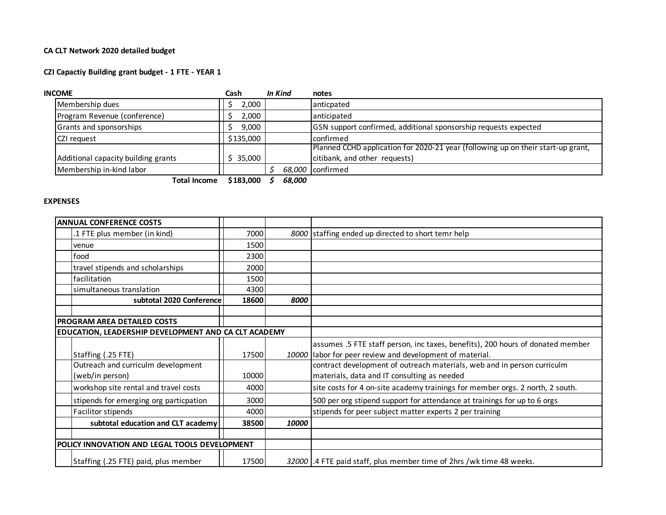#### **CA CLT Network 2020 detailed budget**

#### **CZI Capactiy Building grant budget - 1 FTE - YEAR 1**

| <b>INCOME</b>                       | Cash      | In Kind | notes                                                                            |
|-------------------------------------|-----------|---------|----------------------------------------------------------------------------------|
| Membership dues                     | 2,000     |         | anticpated                                                                       |
| Program Revenue (conference)        | 2,000     |         | anticipated                                                                      |
| Grants and sponsorships             | 9,000     |         | GSN support confirmed, additional sponsorship requests expected                  |
| CZI request                         | \$135,000 |         | confirmed                                                                        |
|                                     |           |         | Planned CCHD application for 2020-21 year (following up on their start-up grant, |
| Additional capacity building grants | \$35,000  |         | citibank, and other requests)                                                    |
| Membership in-kind labor            |           |         | 68,000 confirmed                                                                 |
| <b>Total Income</b>                 | \$183,000 | 68.000  |                                                                                  |

#### **EXPENSES**

| <b>ANNUAL CONFERENCE COSTS</b>                       |       |       |                                                                                |
|------------------------------------------------------|-------|-------|--------------------------------------------------------------------------------|
| .1 FTE plus member (in kind)                         | 7000  |       | 8000 staffing ended up directed to short temr help                             |
| venue                                                | 1500  |       |                                                                                |
| food                                                 | 2300  |       |                                                                                |
| travel stipends and scholarships                     | 2000  |       |                                                                                |
| facilitation                                         | 1500  |       |                                                                                |
| Isimultaneous translation                            | 4300  |       |                                                                                |
| subtotal 2020 Conference                             | 18600 | 8000  |                                                                                |
|                                                      |       |       |                                                                                |
| <b>PROGRAM AREA DETAILED COSTS</b>                   |       |       |                                                                                |
| EDUCATION, LEADERSHIP DEVELOPMENT AND CA CLT ACADEMY |       |       |                                                                                |
|                                                      |       |       | assumes .5 FTE staff person, inc taxes, benefits), 200 hours of donated member |
| Staffing (.25 FTE)                                   | 17500 |       | 10000 labor for peer review and development of material.                       |
| Outreach and curriculm development                   |       |       | contract development of outreach materials, web and in person curriculm        |
| (web/in person)                                      | 10000 |       | materials, data and IT consulting as needed                                    |
| workshop site rental and travel costs                | 4000  |       | site costs for 4 on-site academy trainings for member orgs. 2 north, 2 south.  |
| stipends for emerging org particpation               | 3000  |       | 500 per org stipend support for attendance at trainings for up to 6 orgs       |
| Facilitor stipends                                   | 4000  |       | stipends for peer subject matter experts 2 per training                        |
| subtotal education and CLT academy                   | 38500 | 10000 |                                                                                |
|                                                      |       |       |                                                                                |
| POLICY INNOVATION AND LEGAL TOOLS DEVELOPMENT        |       |       |                                                                                |
| Staffing (.25 FTE) paid, plus member                 | 17500 |       | 32000 .4 FTE paid staff, plus member time of 2hrs /wk time 48 weeks.           |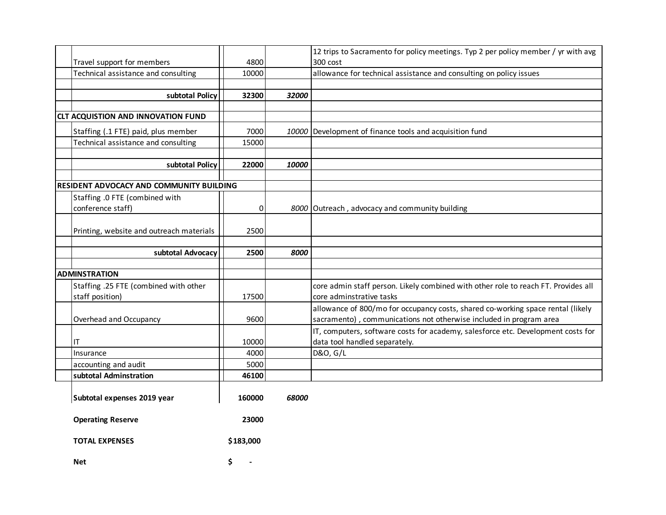|                                           |           |       | 12 trips to Sacramento for policy meetings. Typ 2 per policy member / yr with avg  |
|-------------------------------------------|-----------|-------|------------------------------------------------------------------------------------|
| Travel support for members                | 4800      |       | 300 cost                                                                           |
| Technical assistance and consulting       | 10000     |       | allowance for technical assistance and consulting on policy issues                 |
|                                           |           |       |                                                                                    |
| subtotal Policy                           | 32300     | 32000 |                                                                                    |
|                                           |           |       |                                                                                    |
| <b>CLT ACQUISTION AND INNOVATION FUND</b> |           |       |                                                                                    |
| Staffing (.1 FTE) paid, plus member       | 7000      |       | 10000 Development of finance tools and acquisition fund                            |
| Technical assistance and consulting       | 15000     |       |                                                                                    |
|                                           |           |       |                                                                                    |
| subtotal Policy                           | 22000     | 10000 |                                                                                    |
|                                           |           |       |                                                                                    |
| RESIDENT ADVOCACY AND COMMUNITY BUILDING  |           |       |                                                                                    |
| Staffing .0 FTE (combined with            |           |       |                                                                                    |
| conference staff)                         | 0         |       | 8000 Outreach, advocacy and community building                                     |
|                                           |           |       |                                                                                    |
| Printing, website and outreach materials  | 2500      |       |                                                                                    |
|                                           |           |       |                                                                                    |
| subtotal Advocacy                         | 2500      | 8000  |                                                                                    |
|                                           |           |       |                                                                                    |
| <b>ADMINSTRATION</b>                      |           |       |                                                                                    |
| Staffing .25 FTE (combined with other     |           |       | core admin staff person. Likely combined with other role to reach FT. Provides all |
| staff position)                           | 17500     |       | core adminstrative tasks                                                           |
|                                           |           |       | allowance of 800/mo for occupancy costs, shared co-working space rental (likely    |
| Overhead and Occupancy                    | 9600      |       | sacramento), communications not otherwise included in program area                 |
|                                           |           |       | IT, computers, software costs for academy, salesforce etc. Development costs for   |
| IT                                        | 10000     |       | data tool handled separately.                                                      |
| Insurance                                 | 4000      |       | D&O, G/L                                                                           |
| accounting and audit                      | 5000      |       |                                                                                    |
| subtotal Adminstration                    | 46100     |       |                                                                                    |
| Subtotal expenses 2019 year               | 160000    | 68000 |                                                                                    |
|                                           |           |       |                                                                                    |
| <b>Operating Reserve</b>                  | 23000     |       |                                                                                    |
| <b>TOTAL EXPENSES</b>                     | \$183,000 |       |                                                                                    |
|                                           |           |       |                                                                                    |
| <b>Net</b>                                | \$        |       |                                                                                    |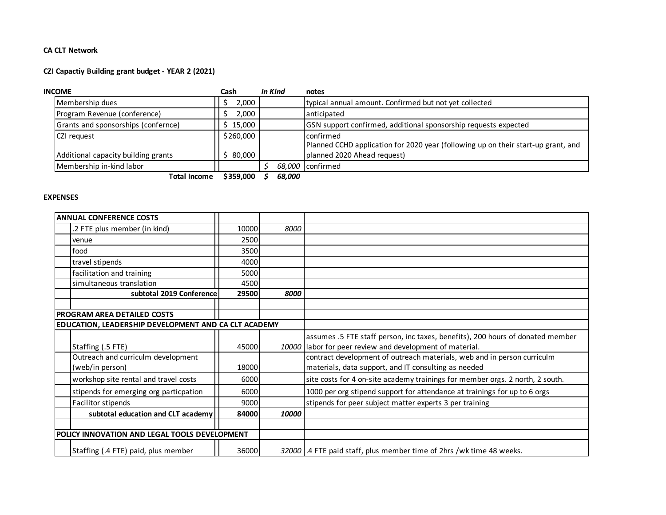#### **CA CLT Network**

#### **CZI Capactiy Building grant budget - YEAR 2 (2021)**

| <b>INCOME</b>                       | Cash      | In Kind | notes                                                                             |
|-------------------------------------|-----------|---------|-----------------------------------------------------------------------------------|
| Membership dues                     | 2,000     |         | typical annual amount. Confirmed but not yet collected                            |
| Program Revenue (conference)        | 2,000     |         | anticipated                                                                       |
| Grants and sponsorships (confernce) | \$15,000  |         | GSN support confirmed, additional sponsorship requests expected                   |
| CZI request                         | \$260,000 |         | confirmed                                                                         |
|                                     |           |         | Planned CCHD application for 2020 year (following up on their start-up grant, and |
| Additional capacity building grants | 80.000    |         | planned 2020 Ahead request)                                                       |
| Membership in-kind labor            |           |         | 68.000 confirmed                                                                  |
| <b>Total Income</b>                 | \$359,000 | 68.000  |                                                                                   |

#### **EXPENSES**

| <b>ANNUAL CONFERENCE COSTS</b>                       |       |       |                                                                                |
|------------------------------------------------------|-------|-------|--------------------------------------------------------------------------------|
| .2 FTE plus member (in kind)                         | 10000 | 8000  |                                                                                |
| venue                                                | 2500  |       |                                                                                |
| food                                                 | 3500  |       |                                                                                |
| travel stipends                                      | 4000  |       |                                                                                |
| facilitation and training                            | 5000  |       |                                                                                |
| simultaneous translation                             | 4500  |       |                                                                                |
| subtotal 2019 Conference                             | 29500 | 8000  |                                                                                |
|                                                      |       |       |                                                                                |
| <b>PROGRAM AREA DETAILED COSTS</b>                   |       |       |                                                                                |
| EDUCATION, LEADERSHIP DEVELOPMENT AND CA CLT ACADEMY |       |       |                                                                                |
|                                                      |       |       | assumes .5 FTE staff person, inc taxes, benefits), 200 hours of donated member |
| Staffing (.5 FTE)                                    | 45000 |       | 10000 labor for peer review and development of material.                       |
| Outreach and curriculm development                   |       |       | contract development of outreach materials, web and in person curriculm        |
| (web/in person)                                      | 18000 |       | materials, data support, and IT consulting as needed                           |
| workshop site rental and travel costs                | 6000  |       | site costs for 4 on-site academy trainings for member orgs. 2 north, 2 south.  |
| stipends for emerging org particpation               | 6000  |       | 1000 per org stipend support for attendance at trainings for up to 6 orgs      |
| Facilitor stipends                                   | 9000  |       | stipends for peer subject matter experts 3 per training                        |
| subtotal education and CLT academy                   | 84000 | 10000 |                                                                                |
|                                                      |       |       |                                                                                |
| POLICY INNOVATION AND LEGAL TOOLS DEVELOPMENT        |       |       |                                                                                |
| Staffing (.4 FTE) paid, plus member                  | 36000 |       | 32000 .4 FTE paid staff, plus member time of 2hrs / wk time 48 weeks.          |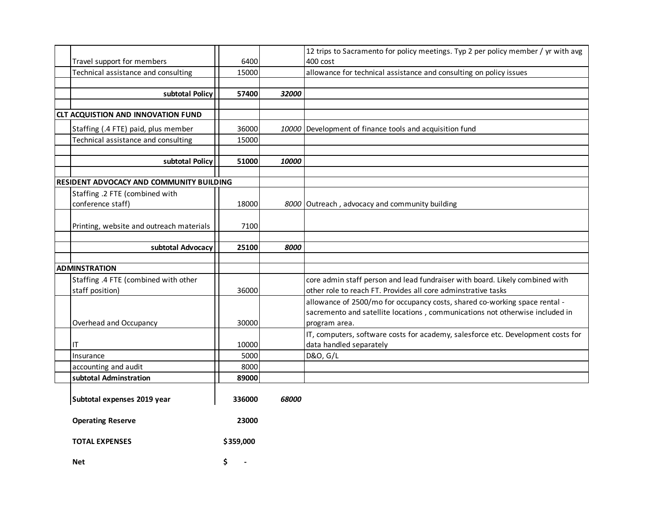| Travel support for members                      | 6400      |       | 12 trips to Sacramento for policy meetings. Typ 2 per policy member / yr with avg<br>400 cost |
|-------------------------------------------------|-----------|-------|-----------------------------------------------------------------------------------------------|
| Technical assistance and consulting             | 15000     |       | allowance for technical assistance and consulting on policy issues                            |
|                                                 |           |       |                                                                                               |
| subtotal Policy                                 | 57400     | 32000 |                                                                                               |
|                                                 |           |       |                                                                                               |
| <b>CLT ACQUISTION AND INNOVATION FUND</b>       |           |       |                                                                                               |
| Staffing (.4 FTE) paid, plus member             | 36000     |       | 10000 Development of finance tools and acquisition fund                                       |
| Technical assistance and consulting             | 15000     |       |                                                                                               |
|                                                 |           |       |                                                                                               |
| subtotal Policy                                 | 51000     | 10000 |                                                                                               |
|                                                 |           |       |                                                                                               |
| <b>RESIDENT ADVOCACY AND COMMUNITY BUILDING</b> |           |       |                                                                                               |
| Staffing .2 FTE (combined with                  |           |       |                                                                                               |
| conference staff)                               | 18000     |       | 8000 Outreach, advocacy and community building                                                |
|                                                 | 7100      |       |                                                                                               |
| Printing, website and outreach materials        |           |       |                                                                                               |
| subtotal Advocacy                               | 25100     | 8000  |                                                                                               |
|                                                 |           |       |                                                                                               |
| <b>ADMINSTRATION</b>                            |           |       |                                                                                               |
| Staffing .4 FTE (combined with other            |           |       | core admin staff person and lead fundraiser with board. Likely combined with                  |
| staff position)                                 | 36000     |       | other role to reach FT. Provides all core adminstrative tasks                                 |
|                                                 |           |       | allowance of 2500/mo for occupancy costs, shared co-working space rental -                    |
|                                                 |           |       | sacremento and satellite locations, communications not otherwise included in                  |
| Overhead and Occupancy                          | 30000     |       | program area.                                                                                 |
|                                                 |           |       | IT, computers, software costs for academy, salesforce etc. Development costs for              |
| ΙT                                              | 10000     |       | data handled separately                                                                       |
| Insurance                                       | 5000      |       | D&O, G/L                                                                                      |
| accounting and audit                            | 8000      |       |                                                                                               |
| subtotal Adminstration                          | 89000     |       |                                                                                               |
|                                                 |           |       |                                                                                               |
| Subtotal expenses 2019 year                     | 336000    | 68000 |                                                                                               |
| <b>Operating Reserve</b>                        | 23000     |       |                                                                                               |
| <b>TOTAL EXPENSES</b>                           | \$359,000 |       |                                                                                               |
| <b>Net</b>                                      | \$        |       |                                                                                               |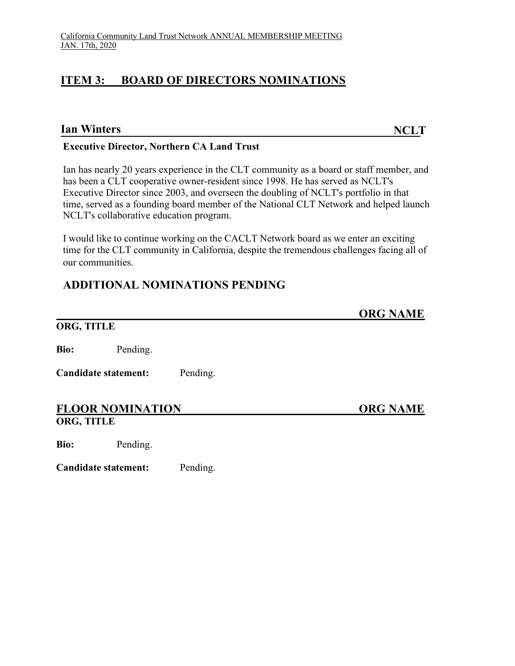## **ITEM 3: BOARD OF DIRECTORS NOMINATIONS**

#### **Ian Winters NCLT**

#### **Executive Director, Northern CA Land Trust**

Ian has nearly 20 years experience in the CLT community as a board or staff member, and has been a CLT cooperative owner-resident since 1998. He has served as NCLT's Executive Director since 2003, and overseen the doubling of NCLT's portfolio in that time, served as a founding board member of the National CLT Network and helped launch NCLT's collaborative education program.

I would like to continue working on the CACLT Network board as we enter an exciting time for the CLT community in California, despite the tremendous challenges facing all of our communities.

## **ADDITIONAL NOMINATIONS PENDING**

## **ORG NAME**

#### **ORG, TITLE**

**Bio:** Pending.

**Candidate statement:** Pending.

#### FLOOR NOMINATION ORG NAME **ORG, TITLE**

**Bio:** Pending.

**Candidate statement:** Pending.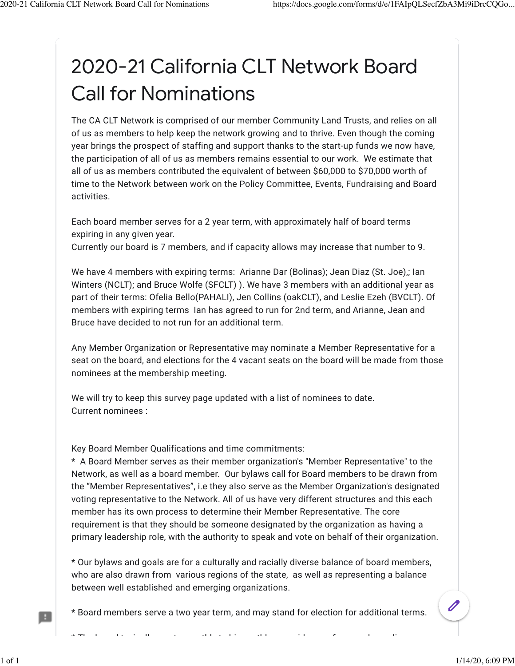# 2020-21 California CLT Network Board Call for Nominations

The CA CLT Network is comprised of our member Community Land Trusts, and relies on all of us as members to help keep the network growing and to thrive. Even though the coming year brings the prospect of staffing and support thanks to the start-up funds we now have, the participation of all of us as members remains essential to our work. We estimate that all of us as members contributed the equivalent of between \$60,000 to \$70,000 worth of time to the Network between work on the Policy Committee, Events, Fundraising and Board activities.

Each board member serves for a 2 year term, with approximately half of board terms expiring in any given year.

Currently our board is 7 members, and if capacity allows may increase that number to 9.

We have 4 members with expiring terms: Arianne Dar (Bolinas); Jean Diaz (St. Joe),; Ian Winters (NCLT); and Bruce Wolfe (SFCLT) ). We have 3 members with an additional year as part of their terms: Ofelia Bello(PAHALI), Jen Collins (oakCLT), and Leslie Ezeh (BVCLT). Of members with expiring terms Ian has agreed to run for 2nd term, and Arianne, Jean and Bruce have decided to not run for an additional term.

Any Member Organization or Representative may nominate a Member Representative for a seat on the board, and elections for the 4 vacant seats on the board will be made from those nominees at the membership meeting.

We will try to keep this survey page updated with a list of nominees to date. Current nominees :

Key Board Member Qualifications and time commitments:

\* A Board Member serves as their member organization's "Member Representative" to the Network, as well as a board member. Our bylaws call for Board members to be drawn from the "Member Representatives", i.e they also serve as the Member Organization's designated voting representative to the Network. All of us have very different structures and this each member has its own process to determine their Member Representative. The core requirement is that they should be someone designated by the organization as having a primary leadership role, with the authority to speak and vote on behalf of their organization.

\* Our bylaws and goals are for a culturally and racially diverse balance of board members, who are also drawn from various regions of the state, as well as representing a balance between well established and emerging organizations.

\* Board members serve a two year term, and may stand for election for additional terms.

\* The board typically meets monthly to bi-monthly over video conference depending on

R

 $\overline{\mathscr{O}}$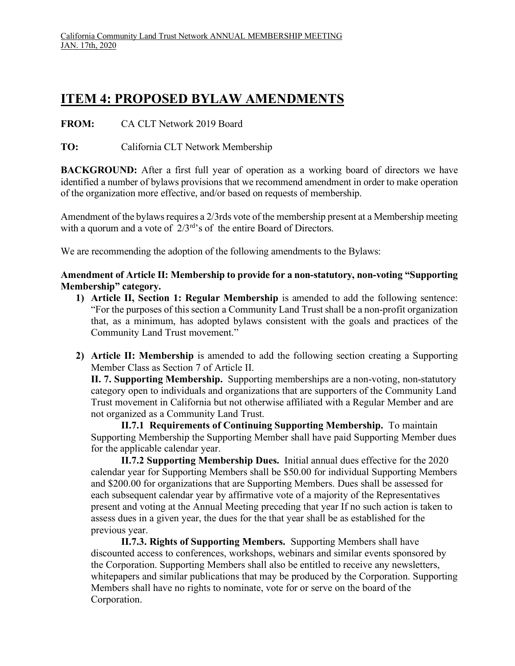# **ITEM 4: PROPOSED BYLAW AMENDMENTS**

**FROM:** CA CLT Network 2019 Board

**TO:** California CLT Network Membership

**BACKGROUND:** After a first full year of operation as a working board of directors we have identified a number of bylaws provisions that we recommend amendment in order to make operation of the organization more effective, and/or based on requests of membership.

Amendment of the bylaws requires a 2/3rds vote of the membership present at a Membership meeting with a quorum and a vote of  $2/3^{rd}$ 's of the entire Board of Directors.

We are recommending the adoption of the following amendments to the Bylaws:

**Amendment of Article II: Membership to provide for a non-statutory, non-voting "Supporting Membership" category.** 

- **1) Article II, Section 1: Regular Membership** is amended to add the following sentence: "For the purposes of this section a Community Land Trust shall be a non-profit organization that, as a minimum, has adopted bylaws consistent with the goals and practices of the Community Land Trust movement."
- **2) Article II: Membership** is amended to add the following section creating a Supporting Member Class as Section 7 of Article II.

**II. 7. Supporting Membership.** Supporting memberships are a non-voting, non-statutory category open to individuals and organizations that are supporters of the Community Land Trust movement in California but not otherwise affiliated with a Regular Member and are not organized as a Community Land Trust.

**II.7.1 Requirements of Continuing Supporting Membership.** To maintain Supporting Membership the Supporting Member shall have paid Supporting Member dues for the applicable calendar year.

**II.7.2 Supporting Membership Dues.** Initial annual dues effective for the 2020 calendar year for Supporting Members shall be \$50.00 for individual Supporting Members and \$200.00 for organizations that are Supporting Members. Dues shall be assessed for each subsequent calendar year by affirmative vote of a majority of the Representatives present and voting at the Annual Meeting preceding that year If no such action is taken to assess dues in a given year, the dues for the that year shall be as established for the previous year.

**II.7.3. Rights of Supporting Members.** Supporting Members shall have discounted access to conferences, workshops, webinars and similar events sponsored by the Corporation. Supporting Members shall also be entitled to receive any newsletters, whitepapers and similar publications that may be produced by the Corporation. Supporting Members shall have no rights to nominate, vote for or serve on the board of the Corporation.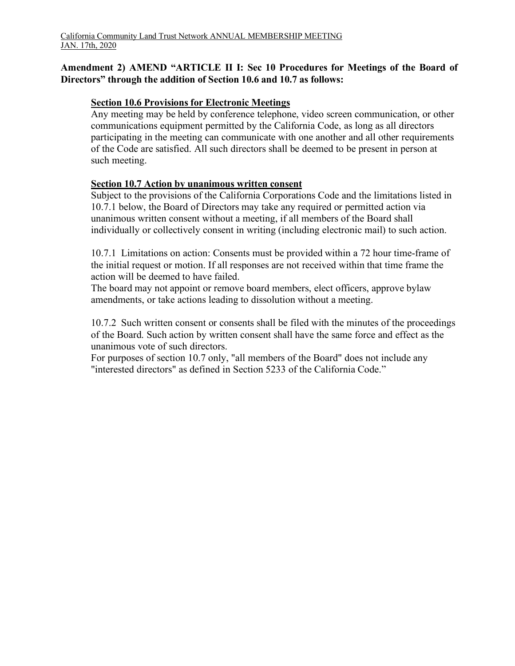#### **Amendment 2) AMEND "ARTICLE II I: Sec 10 Procedures for Meetings of the Board of Directors" through the addition of Section 10.6 and 10.7 as follows:**

#### **Section 10.6 Provisions for Electronic Meetings**

Any meeting may be held by conference telephone, video screen communication, or other communications equipment permitted by the California Code, as long as all directors participating in the meeting can communicate with one another and all other requirements of the Code are satisfied. All such directors shall be deemed to be present in person at such meeting.

#### **Section 10.7 Action by unanimous written consent**

Subject to the provisions of the California Corporations Code and the limitations listed in 10.7.1 below, the Board of Directors may take any required or permitted action via unanimous written consent without a meeting, if all members of the Board shall individually or collectively consent in writing (including electronic mail) to such action.

10.7.1 Limitations on action: Consents must be provided within a 72 hour time-frame of the initial request or motion. If all responses are not received within that time frame the action will be deemed to have failed.

The board may not appoint or remove board members, elect officers, approve bylaw amendments, or take actions leading to dissolution without a meeting.

10.7.2 Such written consent or consents shall be filed with the minutes of the proceedings of the Board. Such action by written consent shall have the same force and effect as the unanimous vote of such directors.

For purposes of section 10.7 only, "all members of the Board" does not include any "interested directors" as defined in Section 5233 of the California Code."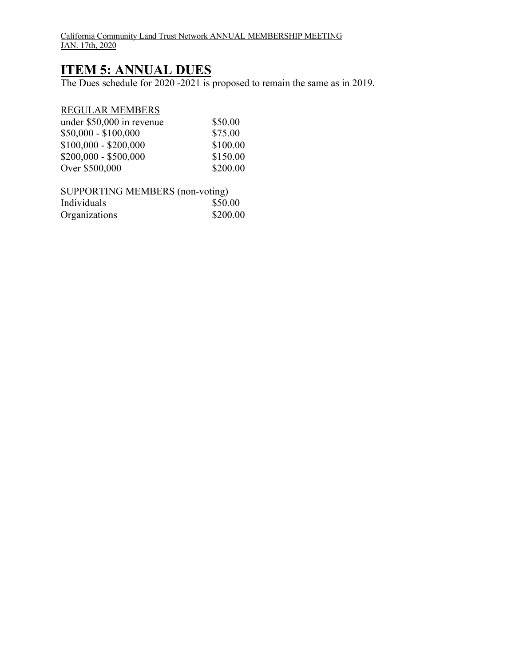California Community Land Trust Network ANNUAL MEMBERSHIP MEETING JAN. 17th, 2020

## **ITEM 5: ANNUAL DUES**

The Dues schedule for 2020 -2021 is proposed to remain the same as in 2019.

#### REGULAR MEMBERS

| under \$50,000 in revenue | \$50.00  |
|---------------------------|----------|
| $$50,000 - $100,000$      | \$75.00  |
| $$100,000 - $200,000$     | \$100.00 |
| $$200,000 - $500,000$     | \$150.00 |
| Over \$500,000            | \$200.00 |

| SUPPORTING MEMBERS (non-voting) |          |
|---------------------------------|----------|
| Individuals                     | \$50.00  |
| Organizations                   | \$200.00 |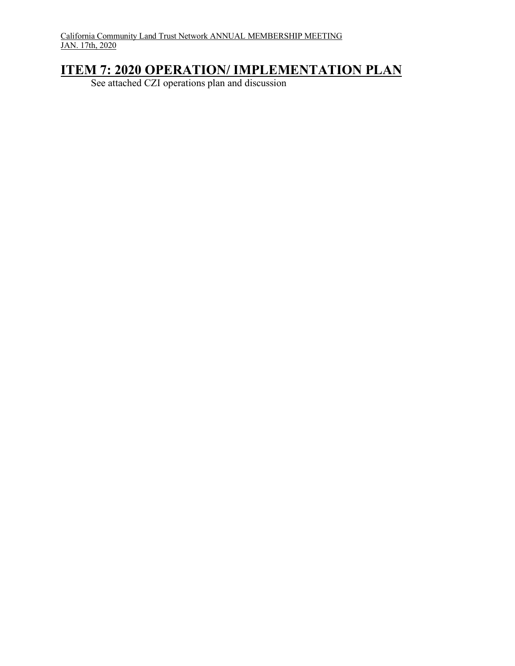## **ITEM 7: 2020 OPERATION/ IMPLEMENTATION PLAN**

See attached CZI operations plan and discussion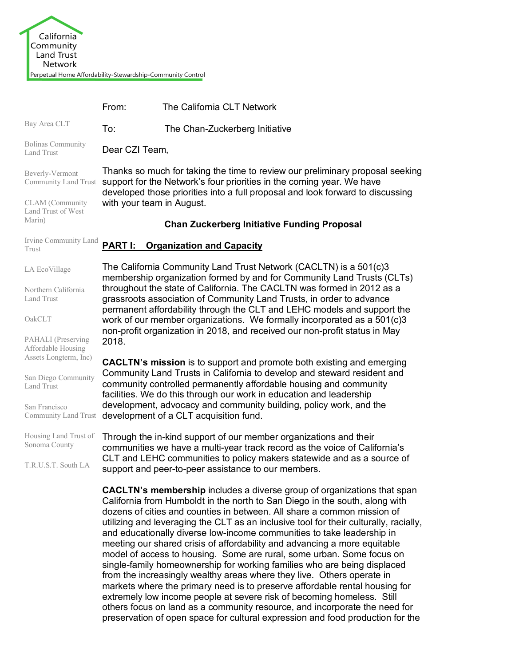|                                                                   | From:                                                                                                                                                                                                                                                                                                                                                                                       | The California CLT Network                                                                                                                                                                                                                                                                                                                                                                                                                                                                                                                                                                                                                                                                                                                                                                                                                                                       |  |  |  |
|-------------------------------------------------------------------|---------------------------------------------------------------------------------------------------------------------------------------------------------------------------------------------------------------------------------------------------------------------------------------------------------------------------------------------------------------------------------------------|----------------------------------------------------------------------------------------------------------------------------------------------------------------------------------------------------------------------------------------------------------------------------------------------------------------------------------------------------------------------------------------------------------------------------------------------------------------------------------------------------------------------------------------------------------------------------------------------------------------------------------------------------------------------------------------------------------------------------------------------------------------------------------------------------------------------------------------------------------------------------------|--|--|--|
| Bay Area CLT                                                      | To:                                                                                                                                                                                                                                                                                                                                                                                         | The Chan-Zuckerberg Initiative                                                                                                                                                                                                                                                                                                                                                                                                                                                                                                                                                                                                                                                                                                                                                                                                                                                   |  |  |  |
| <b>Bolinas Community</b><br><b>Land Trust</b>                     |                                                                                                                                                                                                                                                                                                                                                                                             | Dear CZI Team,                                                                                                                                                                                                                                                                                                                                                                                                                                                                                                                                                                                                                                                                                                                                                                                                                                                                   |  |  |  |
| Beverly-Vermont<br>Community Land Trust                           | Thanks so much for taking the time to review our preliminary proposal seeking<br>support for the Network's four priorities in the coming year. We have<br>developed those priorities into a full proposal and look forward to discussing                                                                                                                                                    |                                                                                                                                                                                                                                                                                                                                                                                                                                                                                                                                                                                                                                                                                                                                                                                                                                                                                  |  |  |  |
| <b>CLAM</b> (Community<br>Land Trust of West                      | with your team in August.                                                                                                                                                                                                                                                                                                                                                                   |                                                                                                                                                                                                                                                                                                                                                                                                                                                                                                                                                                                                                                                                                                                                                                                                                                                                                  |  |  |  |
| Marin)                                                            |                                                                                                                                                                                                                                                                                                                                                                                             | <b>Chan Zuckerberg Initiative Funding Proposal</b>                                                                                                                                                                                                                                                                                                                                                                                                                                                                                                                                                                                                                                                                                                                                                                                                                               |  |  |  |
| Irvine Community Land<br>Trust                                    |                                                                                                                                                                                                                                                                                                                                                                                             | <b>PART I: Organization and Capacity</b>                                                                                                                                                                                                                                                                                                                                                                                                                                                                                                                                                                                                                                                                                                                                                                                                                                         |  |  |  |
| LA EcoVillage                                                     |                                                                                                                                                                                                                                                                                                                                                                                             | The California Community Land Trust Network (CACLTN) is a 501(c)3<br>membership organization formed by and for Community Land Trusts (CLTs)                                                                                                                                                                                                                                                                                                                                                                                                                                                                                                                                                                                                                                                                                                                                      |  |  |  |
| Northern California<br><b>Land Trust</b>                          | throughout the state of California. The CACLTN was formed in 2012 as a<br>grassroots association of Community Land Trusts, in order to advance<br>permanent affordability through the CLT and LEHC models and support the<br>work of our member organizations. We formally incorporated as a 501(c)3<br>non-profit organization in 2018, and received our non-profit status in May<br>2018. |                                                                                                                                                                                                                                                                                                                                                                                                                                                                                                                                                                                                                                                                                                                                                                                                                                                                                  |  |  |  |
| OakCLT                                                            |                                                                                                                                                                                                                                                                                                                                                                                             |                                                                                                                                                                                                                                                                                                                                                                                                                                                                                                                                                                                                                                                                                                                                                                                                                                                                                  |  |  |  |
| PAHALI (Preserving<br>Affordable Housing<br>Assets Longterm, Inc) |                                                                                                                                                                                                                                                                                                                                                                                             |                                                                                                                                                                                                                                                                                                                                                                                                                                                                                                                                                                                                                                                                                                                                                                                                                                                                                  |  |  |  |
| San Diego Community<br><b>Land Trust</b>                          |                                                                                                                                                                                                                                                                                                                                                                                             | <b>CACLTN's mission</b> is to support and promote both existing and emerging<br>Community Land Trusts in California to develop and steward resident and<br>community controlled permanently affordable housing and community<br>facilities. We do this through our work in education and leadership                                                                                                                                                                                                                                                                                                                                                                                                                                                                                                                                                                              |  |  |  |
| San Francisco<br>Community Land Trust                             |                                                                                                                                                                                                                                                                                                                                                                                             | development, advocacy and community building, policy work, and the<br>development of a CLT acquisition fund.                                                                                                                                                                                                                                                                                                                                                                                                                                                                                                                                                                                                                                                                                                                                                                     |  |  |  |
| Housing Land Trust of<br>Sonoma County                            |                                                                                                                                                                                                                                                                                                                                                                                             | Through the in-kind support of our member organizations and their<br>communities we have a multi-year track record as the voice of California's                                                                                                                                                                                                                                                                                                                                                                                                                                                                                                                                                                                                                                                                                                                                  |  |  |  |
| T.R.U.S.T. South LA                                               |                                                                                                                                                                                                                                                                                                                                                                                             | CLT and LEHC communities to policy makers statewide and as a source of<br>support and peer-to-peer assistance to our members.                                                                                                                                                                                                                                                                                                                                                                                                                                                                                                                                                                                                                                                                                                                                                    |  |  |  |
|                                                                   |                                                                                                                                                                                                                                                                                                                                                                                             | <b>CACLTN's membership</b> includes a diverse group of organizations that span<br>California from Humboldt in the north to San Diego in the south, along with<br>dozens of cities and counties in between. All share a common mission of<br>utilizing and leveraging the CLT as an inclusive tool for their culturally, racially,<br>and educationally diverse low-income communities to take leadership in<br>meeting our shared crisis of affordability and advancing a more equitable<br>model of access to housing. Some are rural, some urban. Some focus on<br>single-family homeownership for working families who are being displaced<br>from the increasingly wealthy areas where they live. Others operate in<br>markets where the primary need is to preserve affordable rental housing for<br>extremely low income people at severe risk of becoming homeless. Still |  |  |  |

others focus on land as a community resource, and incorporate the need for preservation of open space for cultural expression and food production for the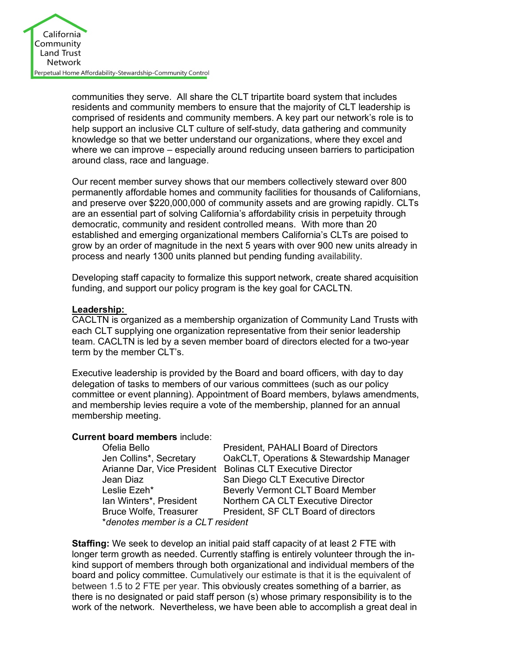

communities they serve. All share the CLT tripartite board system that includes residents and community members to ensure that the majority of CLT leadership is comprised of residents and community members. A key part our network's role is to help support an inclusive CLT culture of self-study, data gathering and community knowledge so that we better understand our organizations, where they excel and where we can improve – especially around reducing unseen barriers to participation around class, race and language.

Our recent member survey shows that our members collectively steward over 800 permanently affordable homes and community facilities for thousands of Californians, and preserve over \$220,000,000 of community assets and are growing rapidly. CLTs are an essential part of solving California's affordability crisis in perpetuity through democratic, community and resident controlled means. With more than 20 established and emerging organizational members California's CLTs are poised to grow by an order of magnitude in the next 5 years with over 900 new units already in process and nearly 1300 units planned but pending funding availability.

Developing staff capacity to formalize this support network, create shared acquisition funding, and support our policy program is the key goal for CACLTN.

#### **Leadership:**

CACLTN is organized as a membership organization of Community Land Trusts with each CLT supplying one organization representative from their senior leadership team. CACLTN is led by a seven member board of directors elected for a two-year term by the member CLT's.

Executive leadership is provided by the Board and board officers, with day to day delegation of tasks to members of our various committees (such as our policy committee or event planning). Appointment of Board members, bylaws amendments, and membership levies require a vote of the membership, planned for an annual membership meeting.

#### **Current board members** include:

| Ofelia Bello                      | President, PAHALI Board of Directors                       |  |  |
|-----------------------------------|------------------------------------------------------------|--|--|
| Jen Collins*, Secretary           | OakCLT, Operations & Stewardship Manager                   |  |  |
|                                   | Arianne Dar, Vice President Bolinas CLT Executive Director |  |  |
| Jean Diaz                         | San Diego CLT Executive Director                           |  |  |
| Leslie Ezeh*                      | <b>Beverly Vermont CLT Board Member</b>                    |  |  |
| Ian Winters*, President           | Northern CA CLT Executive Director                         |  |  |
| <b>Bruce Wolfe, Treasurer</b>     | President, SF CLT Board of directors                       |  |  |
| *denotes member is a CLT resident |                                                            |  |  |

**Staffing:** We seek to develop an initial paid staff capacity of at least 2 FTE with longer term growth as needed. Currently staffing is entirely volunteer through the inkind support of members through both organizational and individual members of the board and policy committee. Cumulatively our estimate is that it is the equivalent of between 1.5 to 2 FTE per year. This obviously creates something of a barrier, as there is no designated or paid staff person (s) whose primary responsibility is to the work of the network. Nevertheless, we have been able to accomplish a great deal in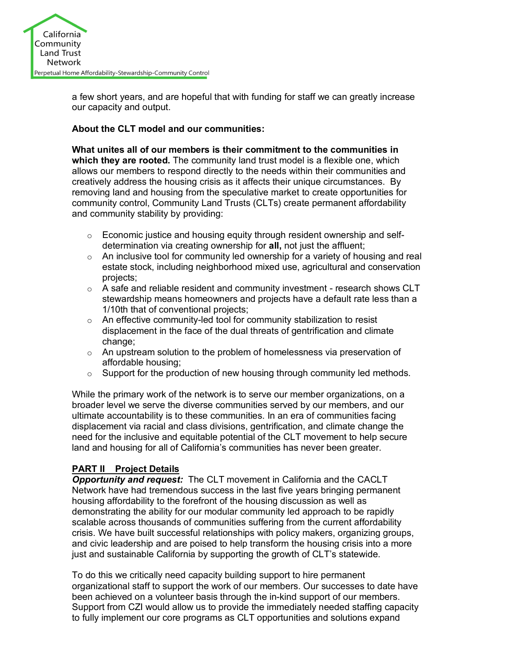

a few short years, and are hopeful that with funding for staff we can greatly increase our capacity and output.

#### **About the CLT model and our communities:**

**What unites all of our members is their commitment to the communities in which they are rooted.** The community land trust model is a flexible one, which allows our members to respond directly to the needs within their communities and creatively address the housing crisis as it affects their unique circumstances. By removing land and housing from the speculative market to create opportunities for community control, Community Land Trusts (CLTs) create permanent affordability and community stability by providing:

- $\circ$  Economic justice and housing equity through resident ownership and selfdetermination via creating ownership for **all,** not just the affluent;
- $\circ$  An inclusive tool for community led ownership for a variety of housing and real estate stock, including neighborhood mixed use, agricultural and conservation projects;
- $\circ$  A safe and reliable resident and community investment research shows CLT stewardship means homeowners and projects have a default rate less than a 1/10th that of conventional projects;
- o An effective community-led tool for community stabilization to resist displacement in the face of the dual threats of gentrification and climate change;
- $\circ$  An upstream solution to the problem of homelessness via preservation of affordable housing;
- $\circ$  Support for the production of new housing through community led methods.

While the primary work of the network is to serve our member organizations, on a broader level we serve the diverse communities served by our members, and our ultimate accountability is to these communities. In an era of communities facing displacement via racial and class divisions, gentrification, and climate change the need for the inclusive and equitable potential of the CLT movement to help secure land and housing for all of California's communities has never been greater.

#### **PART II Project Details**

*Opportunity and request:* The CLT movement in California and the CACLT Network have had tremendous success in the last five years bringing permanent housing affordability to the forefront of the housing discussion as well as demonstrating the ability for our modular community led approach to be rapidly scalable across thousands of communities suffering from the current affordability crisis. We have built successful relationships with policy makers, organizing groups, and civic leadership and are poised to help transform the housing crisis into a more just and sustainable California by supporting the growth of CLT's statewide.

To do this we critically need capacity building support to hire permanent organizational staff to support the work of our members. Our successes to date have been achieved on a volunteer basis through the in-kind support of our members. Support from CZI would allow us to provide the immediately needed staffing capacity to fully implement our core programs as CLT opportunities and solutions expand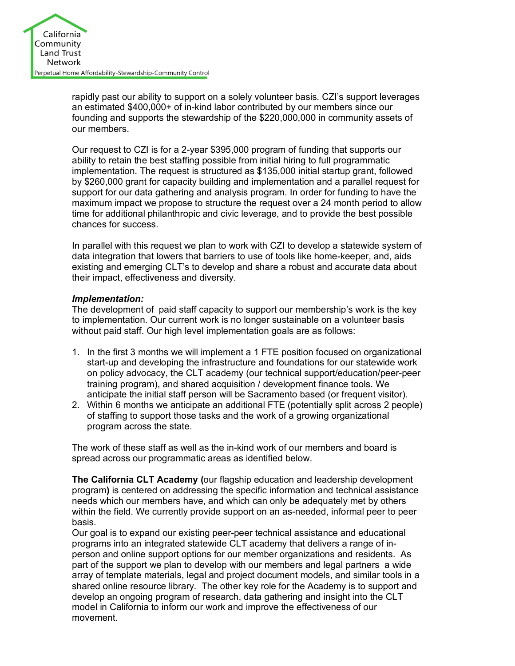

rapidly past our ability to support on a solely volunteer basis. CZI's support leverages an estimated \$400,000+ of in-kind labor contributed by our members since our founding and supports the stewardship of the \$220,000,000 in community assets of our members.

Our request to CZI is for a 2-year \$395,000 program of funding that supports our ability to retain the best staffing possible from initial hiring to full programmatic implementation. The request is structured as \$135,000 initial startup grant, followed by \$260,000 grant for capacity building and implementation and a parallel request for support for our data gathering and analysis program. In order for funding to have the maximum impact we propose to structure the request over a 24 month period to allow time for additional philanthropic and civic leverage, and to provide the best possible chances for success.

In parallel with this request we plan to work with CZI to develop a statewide system of data integration that lowers that barriers to use of tools like home-keeper, and, aids existing and emerging CLT's to develop and share a robust and accurate data about their impact, effectiveness and diversity.

#### *Implementation:*

The development of paid staff capacity to support our membership's work is the key to implementation. Our current work is no longer sustainable on a volunteer basis without paid staff. Our high level implementation goals are as follows:

- 1. In the first 3 months we will implement a 1 FTE position focused on organizational start-up and developing the infrastructure and foundations for our statewide work on policy advocacy, the CLT academy (our technical support/education/peer-peer training program), and shared acquisition / development finance tools. We anticipate the initial staff person will be Sacramento based (or frequent visitor).
- 2. Within 6 months we anticipate an additional FTE (potentially split across 2 people) of staffing to support those tasks and the work of a growing organizational program across the state.

The work of these staff as well as the in-kind work of our members and board is spread across our programmatic areas as identified below.

**The California CLT Academy (**our flagship education and leadership development program**)** is centered on addressing the specific information and technical assistance needs which our members have, and which can only be adequately met by others within the field. We currently provide support on an as-needed, informal peer to peer basis.

Our goal is to expand our existing peer-peer technical assistance and educational programs into an integrated statewide CLT academy that delivers a range of inperson and online support options for our member organizations and residents. As part of the support we plan to develop with our members and legal partners a wide array of template materials, legal and project document models, and similar tools in a shared online resource library. The other key role for the Academy is to support and develop an ongoing program of research, data gathering and insight into the CLT model in California to inform our work and improve the effectiveness of our movement.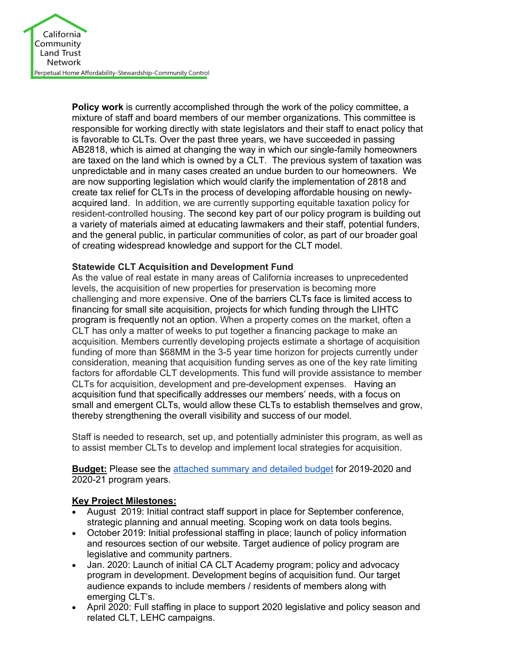

**Policy work** is currently accomplished through the work of the policy committee, a mixture of staff and board members of our member organizations. This committee is responsible for working directly with state legislators and their staff to enact policy that is favorable to CLTs. Over the past three years, we have succeeded in passing AB2818, which is aimed at changing the way in which our single-family homeowners are taxed on the land which is owned by a CLT. The previous system of taxation was unpredictable and in many cases created an undue burden to our homeowners. We are now supporting legislation which would clarify the implementation of 2818 and create tax relief for CLTs in the process of developing affordable housing on newlyacquired land. In addition, we are currently supporting equitable taxation policy for resident-controlled housing. The second key part of our policy program is building out a variety of materials aimed at educating lawmakers and their staff, potential funders, and the general public, in particular communities of color, as part of our broader goal of creating widespread knowledge and support for the CLT model.

#### **Statewide CLT Acquisition and Development Fund**

As the value of real estate in many areas of California increases to unprecedented levels, the acquisition of new properties for preservation is becoming more challenging and more expensive. One of the barriers CLTs face is limited access to financing for small site acquisition, projects for which funding through the LIHTC program is frequently not an option. When a property comes on the market, often a CLT has only a matter of weeks to put together a financing package to make an acquisition. Members currently developing projects estimate a shortage of acquisition funding of more than \$68MM in the 3-5 year time horizon for projects currently under consideration, meaning that acquisition funding serves as one of the key rate limiting factors for affordable CLT developments. This fund will provide assistance to member CLTs for acquisition, development and pre-development expenses. Having an acquisition fund that specifically addresses our members' needs, with a focus on small and emergent CLTs, would allow these CLTs to establish themselves and grow, thereby strengthening the overall visibility and success of our model.

Staff is needed to research, set up, and potentially administer this program, as well as to assist member CLTs to develop and implement local strategies for acquisition.

**Budget:** Please see the attached summary and detailed budget for 2019-2020 and 2020-21 program years.

#### **Key Project Milestones:**

- August 2019: Initial contract staff support in place for September conference, strategic planning and annual meeting. Scoping work on data tools begins.
- October 2019: Initial professional staffing in place; launch of policy information and resources section of our website. Target audience of policy program are legislative and community partners.
- Jan. 2020: Launch of initial CA CLT Academy program; policy and advocacy program in development. Development begins of acquisition fund. Our target audience expands to include members / residents of members along with emerging CLT's.
- April 2020: Full staffing in place to support 2020 legislative and policy season and related CLT, LEHC campaigns.